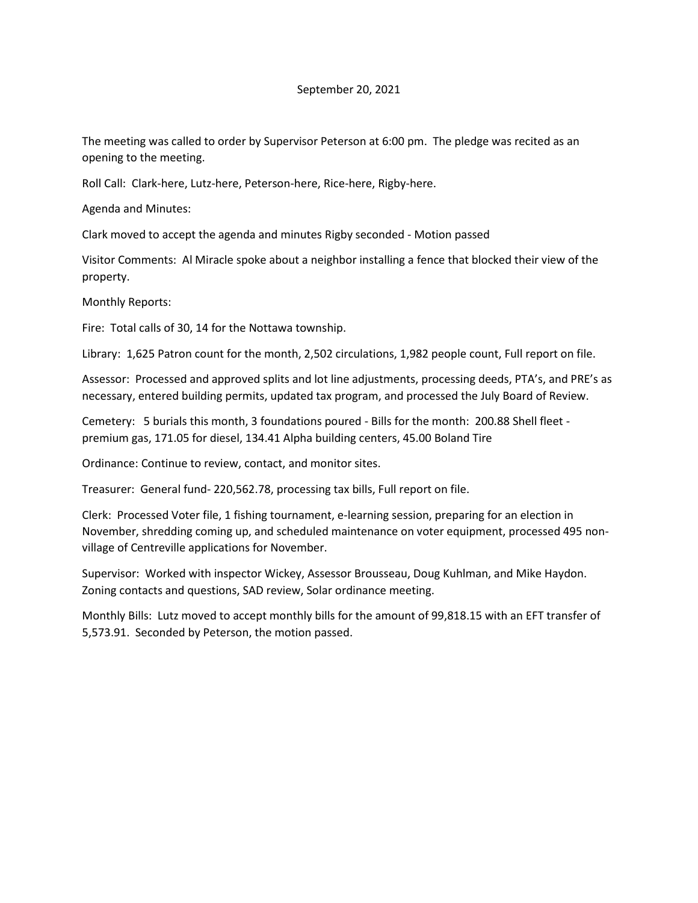## September 20, 2021

The meeting was called to order by Supervisor Peterson at 6:00 pm. The pledge was recited as an opening to the meeting.

Roll Call: Clark-here, Lutz-here, Peterson-here, Rice-here, Rigby-here.

Agenda and Minutes:

Clark moved to accept the agenda and minutes Rigby seconded - Motion passed

Visitor Comments: Al Miracle spoke about a neighbor installing a fence that blocked their view of the property.

Monthly Reports:

Fire: Total calls of 30, 14 for the Nottawa township.

Library: 1,625 Patron count for the month, 2,502 circulations, 1,982 people count, Full report on file.

Assessor: Processed and approved splits and lot line adjustments, processing deeds, PTA's, and PRE's as necessary, entered building permits, updated tax program, and processed the July Board of Review.

Cemetery: 5 burials this month, 3 foundations poured - Bills for the month: 200.88 Shell fleet premium gas, 171.05 for diesel, 134.41 Alpha building centers, 45.00 Boland Tire

Ordinance: Continue to review, contact, and monitor sites.

Treasurer: General fund- 220,562.78, processing tax bills, Full report on file.

Clerk: Processed Voter file, 1 fishing tournament, e-learning session, preparing for an election in November, shredding coming up, and scheduled maintenance on voter equipment, processed 495 nonvillage of Centreville applications for November.

Supervisor: Worked with inspector Wickey, Assessor Brousseau, Doug Kuhlman, and Mike Haydon. Zoning contacts and questions, SAD review, Solar ordinance meeting.

Monthly Bills: Lutz moved to accept monthly bills for the amount of 99,818.15 with an EFT transfer of 5,573.91. Seconded by Peterson, the motion passed.